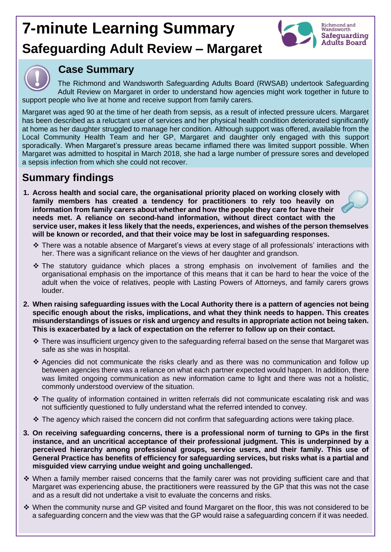## **7-minute Learning Summary Safeguarding Adult Review – Margaret**





## **Case Summary**

The Richmond and Wandsworth Safeguarding Adults Board (RWSAB) undertook Safeguarding Adult Review on Margaret in order to understand how agencies might work together in future to support people who live at home and receive support from family carers.

Margaret was aged 90 at the time of her death from sepsis, as a result of infected pressure ulcers. Margaret has been described as a reluctant user of services and her physical health condition deteriorated significantly at home as her daughter struggled to manage her condition. Although support was offered, available from the Local Community Health Team and her GP, Margaret and daughter only engaged with this support sporadically. When Margaret's pressure areas became inflamed there was limited support possible. When Margaret was admitted to hospital in March 2018, she had a large number of pressure sores and developed a sepsis infection from which she could not recover.

## **Summary findings**

- **1. Across health and social care, the organisational priority placed on working closely with family members has created a tendency for practitioners to rely too heavily on information from family carers about whether and how the people they care for have their needs met. A reliance on second-hand information, without direct contact with the service user, makes it less likely that the needs, experiences, and wishes of the person themselves will be known or recorded, and that their voice may be lost in safeguarding responses.**
	- ❖ There was a notable absence of Margaret's views at every stage of all professionals' interactions with her. There was a significant reliance on the views of her daughter and grandson.
	- ❖ The statutory guidance which places a strong emphasis on involvement of families and the organisational emphasis on the importance of this means that it can be hard to hear the voice of the adult when the voice of relatives, people with Lasting Powers of Attorneys, and family carers grows louder.
- **2. When raising safeguarding issues with the Local Authority there is a pattern of agencies not being specific enough about the risks, implications, and what they think needs to happen. This creates misunderstandings of issues or risk and urgency and results in appropriate action not being taken. This is exacerbated by a lack of expectation on the referrer to follow up on their contact.** 
	- ❖ There was insufficient urgency given to the safeguarding referral based on the sense that Margaret was safe as she was in hospital.
	- ❖ Agencies did not communicate the risks clearly and as there was no communication and follow up between agencies there was a reliance on what each partner expected would happen. In addition, there was limited ongoing communication as new information came to light and there was not a holistic, commonly understood overview of the situation.
	- ❖ The quality of information contained in written referrals did not communicate escalating risk and was not sufficiently questioned to fully understand what the referred intended to convey.
	- ❖ The agency which raised the concern did not confirm that safeguarding actions were taking place.
- **3. On receiving safeguarding concerns, there is a professional norm of turning to GPs in the first instance, and an uncritical acceptance of their professional judgment. This is underpinned by a perceived hierarchy among professional groups, service users, and their family. This use of General Practice has benefits of efficiency for safeguarding services, but risks what is a partial and misguided view carrying undue weight and going unchallenged.**
- ❖ When a family member raised concerns that the family carer was not providing sufficient care and that Margaret was experiencing abuse, the practitioners were reassured by the GP that this was not the case and as a result did not undertake a visit to evaluate the concerns and risks.
- ❖ When the community nurse and GP visited and found Margaret on the floor, this was not considered to be a safeguarding concern and the view was that the GP would raise a safeguarding concern if it was needed.